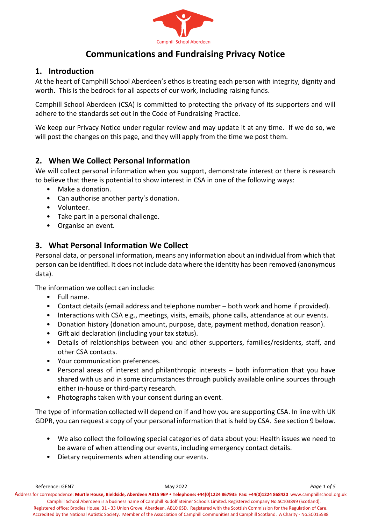

# **Communications and Fundraising Privacy Notice**

#### **1. Introduction**

At the heart of Camphill School Aberdeen's ethos is treating each person with integrity, dignity and worth. This is the bedrock for all aspects of our work, including raising funds.

Camphill School Aberdeen (CSA) is committed to protecting the privacy of its supporters and will adhere to the standards set out in the Code of Fundraising Practice.

We keep our Privacy Notice under regular review and may update it at any time. If we do so, we will post the changes on this page, and they will apply from the time we post them.

### **2. When We Collect Personal Information**

We will collect personal information when you support, demonstrate interest or there is research to believe that there is potential to show interest in CSA in one of the following ways:

- Make a donation.
- Can authorise another party's donation.
- Volunteer.
- Take part in a personal challenge.
- Organise an event.

## **3. What Personal Information We Collect**

Personal data, or personal information, means any information about an individual from which that person can be identified. It does not include data where the identity has been removed (anonymous data).

The information we collect can include:

- Full name.
- Contact details (email address and telephone number both work and home if provided).
- Interactions with CSA e.g., meetings, visits, emails, phone calls, attendance at our events.
- Donation history (donation amount, purpose, date, payment method, donation reason).
- Gift aid declaration (including your tax status).
- Details of relationships between you and other supporters, families/residents, staff, and other CSA contacts.
- Your communication preferences.
- Personal areas of interest and philanthropic interests both information that you have shared with us and in some circumstances through publicly available online sources through either in-house or third-party research.
- Photographs taken with your consent during an event.

The type of information collected will depend on if and how you are supporting CSA. In line with UK GDPR, you can request a copy of your personal information that is held by CSA. See section 9 below.

- We also collect the following special categories of data about you: Health issues we need to be aware of when attending our events, including emergency contact details.
- Dietary requirements when attending our events.

Reference: GEN7 May 2022 *Page 1 of 5* Address for correspondence: **Murtle House, Bieldside, Aberdeen AB15 9EP • Telephone: +44(0)1224 867935 Fax: +44(0)1224 868420** [www.camphillschool.org.uk](http://www.camphillschool.org.uk/) Camphill School Aberdeen is a business name of Camphill Rudolf Steiner Schools Limited. Registered company No.SC103899 (Scotland). Registered office: Brodies House, 31 - 33 Union Grove, Aberdeen, AB10 6SD. Registered with the Scottish Commission for the Regulation of Care. Accredited by the National Autistic Society. Member of the Association of Camphill Communities and Camphill Scotland. A Charity - No.SC015588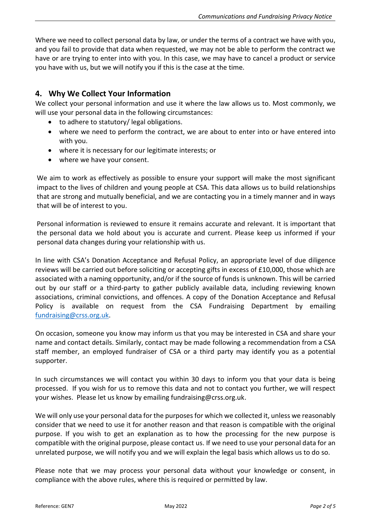Where we need to collect personal data by law, or under the terms of a contract we have with you, and you fail to provide that data when requested, we may not be able to perform the contract we have or are trying to enter into with you. In this case, we may have to cancel a product or service you have with us, but we will notify you if this is the case at the time.

## **4. Why We Collect Your Information**

We collect your personal information and use it where the law allows us to. Most commonly, we will use your personal data in the following circumstances:

- to adhere to statutory/ legal obligations.
- where we need to perform the contract, we are about to enter into or have entered into with you.
- where it is necessary for our legitimate interests; or
- where we have your consent.

We aim to work as effectively as possible to ensure your support will make the most significant impact to the lives of children and young people at CSA. This data allows us to build relationships that are strong and mutually beneficial, and we are contacting you in a timely manner and in ways that will be of interest to you.

Personal information is reviewed to ensure it remains accurate and relevant. It is important that the personal data we hold about you is accurate and current. Please keep us informed if your personal data changes during your relationship with us.

In line with CSA's Donation Acceptance and Refusal Policy, an appropriate level of due diligence reviews will be carried out before soliciting or accepting gifts in excess of £10,000, those which are associated with a naming opportunity, and/or if the source of funds is unknown. This will be carried out by our staff or a third-party to gather publicly available data, including reviewing known associations, criminal convictions, and offences. A copy of the Donation Acceptance and Refusal Policy is available on request from the CSA Fundraising Department by emailing [fundraising@crss.org.uk.](mailto:g.tracey@crss.org.uk)

On occasion, someone you know may inform us that you may be interested in CSA and share your name and contact details. Similarly, contact may be made following a recommendation from a CSA staff member, an employed fundraiser of CSA or a third party may identify you as a potential supporter.

In such circumstances we will contact you within 30 days to inform you that your data is being processed. If you wish for us to remove this data and not to contact you further, we will respect your wishes. Please let us know by emailing fundraising@crss.org.uk.

We will only use your personal data for the purposes for which we collected it, unless we reasonably consider that we need to use it for another reason and that reason is compatible with the original purpose. If you wish to get an explanation as to how the processing for the new purpose is compatible with the original purpose, please contact us. If we need to use your personal data for an unrelated purpose, we will notify you and we will explain the legal basis which allows us to do so.

Please note that we may process your personal data without your knowledge or consent, in compliance with the above rules, where this is required or permitted by law.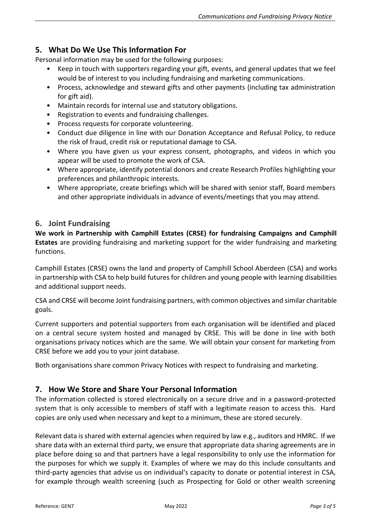## **5. What Do We Use This Information For**

Personal information may be used for the following purposes:

- Keep in touch with supporters regarding your gift, events, and general updates that we feel would be of interest to you including fundraising and marketing communications.
- Process, acknowledge and steward gifts and other payments (including tax administration for gift aid).
- Maintain records for internal use and statutory obligations.
- Registration to events and fundraising challenges.
- Process requests for corporate volunteering.
- Conduct due diligence in line with our Donation Acceptance and Refusal Policy, to reduce the risk of fraud, credit risk or reputational damage to CSA.
- Where you have given us your express consent, photographs, and videos in which you appear will be used to promote the work of CSA.
- Where appropriate, identify potential donors and create Research Profiles highlighting your preferences and philanthropic interests.
- Where appropriate, create briefings which will be shared with senior staff, Board members and other appropriate individuals in advance of events/meetings that you may attend.

#### **6. Joint Fundraising**

**We work in Partnership with Camphill Estates (CRSE) for fundraising Campaigns and Camphill Estates** are providing fundraising and marketing support for the wider fundraising and marketing functions.

Camphill Estates (CRSE) owns the land and property of Camphill School Aberdeen (CSA) and works in partnership with CSA to help build futures for children and young people with learning disabilities and additional support needs.

CSA and CRSE will become Joint fundraising partners, with common objectives and similar charitable goals.

Current supporters and potential supporters from each organisation will be identified and placed on a central secure system hosted and managed by CRSE. This will be done in line with both organisations privacy notices which are the same. We will obtain your consent for marketing from CRSE before we add you to your joint database.

Both organisations share common Privacy Notices with respect to fundraising and marketing.

#### **7. How We Store and Share Your Personal Information**

The information collected is stored electronically on a secure drive and in a password-protected system that is only accessible to members of staff with a legitimate reason to access this. Hard copies are only used when necessary and kept to a minimum, these are stored securely.

Relevant data is shared with external agencies when required by law e.g., auditors and HMRC. If we share data with an external third party, we ensure that appropriate data sharing agreements are in place before doing so and that partners have a legal responsibility to only use the information for the purposes for which we supply it. Examples of where we may do this include consultants and third-party agencies that advise us on individual's capacity to donate or potential interest in CSA, for example through wealth screening (such as Prospecting for Gold or other wealth screening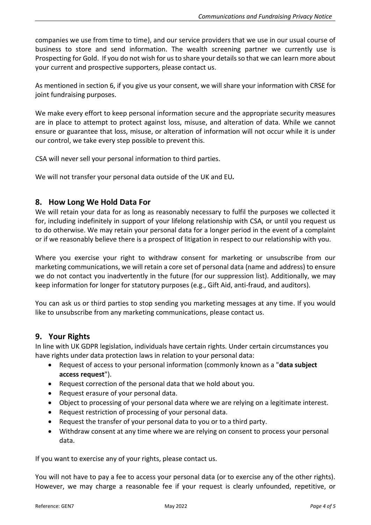companies we use from time to time), and our service providers that we use in our usual course of business to store and send information. The wealth screening partner we currently use is Prospecting for Gold. If you do not wish for us to share your details so that we can learn more about your current and prospective supporters, please contact us.

As mentioned in section 6, if you give us your consent, we will share your information with CRSE for joint fundraising purposes.

We make every effort to keep personal information secure and the appropriate security measures are in place to attempt to protect against loss, misuse, and alteration of data. While we cannot ensure or guarantee that loss, misuse, or alteration of information will not occur while it is under our control, we take every step possible to prevent this.

CSA will never sell your personal information to third parties.

We will not transfer your personal data outside of the UK and EU*.*

#### **8. How Long We Hold Data For**

We will retain your data for as long as reasonably necessary to fulfil the purposes we collected it for, including indefinitely in support of your lifelong relationship with CSA, or until you request us to do otherwise. We may retain your personal data for a longer period in the event of a complaint or if we reasonably believe there is a prospect of litigation in respect to our relationship with you.

Where you exercise your right to withdraw consent for marketing or unsubscribe from our marketing communications, we will retain a core set of personal data (name and address) to ensure we do not contact you inadvertently in the future (for our suppression list). Additionally, we may keep information for longer for statutory purposes (e.g., Gift Aid, anti-fraud, and auditors).

You can ask us or third parties to stop sending you marketing messages at any time. If you would like to unsubscribe from any marketing communications, please contact us.

#### **9. Your Rights**

In line with UK GDPR legislation, individuals have certain rights. Under certain circumstances you have rights under data protection laws in relation to your personal data:

- Request of access to your personal information (commonly known as a "**data subject access request**").
- Request correction of the personal data that we hold about you.
- Request erasure of your personal data.
- Object to processing of your personal data where we are relying on a legitimate interest.
- Request restriction of processing of your personal data.
- Request the transfer of your personal data to you or to a third party.
- Withdraw consent at any time where we are relying on consent to process your personal data.

If you want to exercise any of your rights, please contact us.

You will not have to pay a fee to access your personal data (or to exercise any of the other rights). However, we may charge a reasonable fee if your request is clearly unfounded, repetitive, or